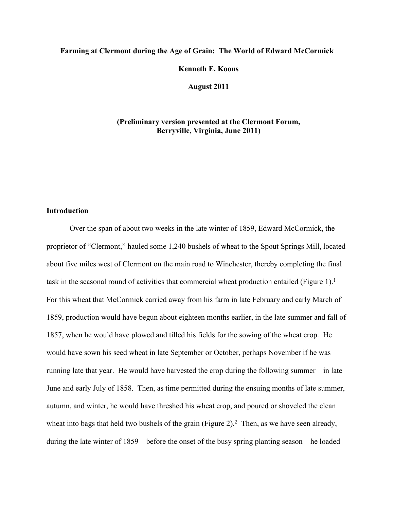# **Farming at Clermont during the Age of Grain: The World of Edward McCormick**

**Kenneth E. Koons**

**August 2011**

# **(Preliminary version presented at the Clermont Forum, Berryville, Virginia, June 2011)**

# **Introduction**

Over the span of about two weeks in the late winter of 1859, Edward McCormick, the proprietor of "Clermont," hauled some 1,240 bushels of wheat to the Spout Springs Mill, located about five miles west of Clermont on the main road to Winchester, thereby completing the final task in the seasonal round of activities that commercial wheat production entailed (Figure 1).<sup>1</sup> For this wheat that McCormick carried away from his farm in late February and early March of 1859, production would have begun about eighteen months earlier, in the late summer and fall of 1857, when he would have plowed and tilled his fields for the sowing of the wheat crop. He would have sown his seed wheat in late September or October, perhaps November if he was running late that year. He would have harvested the crop during the following summer—in late June and early July of 1858. Then, as time permitted during the ensuing months of late summer, autumn, and winter, he would have threshed his wheat crop, and poured or shoveled the clean wheat into bags that held two bushels of the grain (Figure 2).<sup>2</sup> Then, as we have seen already, during the late winter of 1859—before the onset of the busy spring planting season—he loaded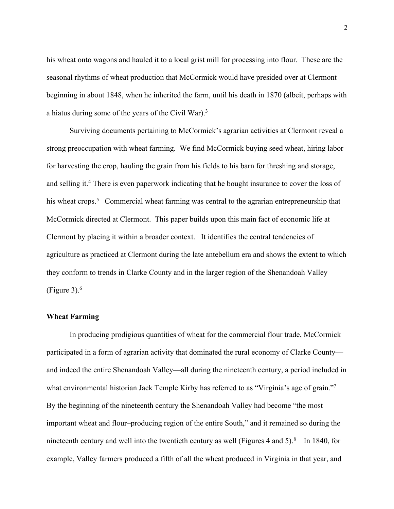his wheat onto wagons and hauled it to a local grist mill for processing into flour. These are the seasonal rhythms of wheat production that McCormick would have presided over at Clermont beginning in about 1848, when he inherited the farm, until his death in 1870 (albeit, perhaps with a hiatus during some of the years of the Civil War).3

Surviving documents pertaining to McCormick's agrarian activities at Clermont reveal a strong preoccupation with wheat farming. We find McCormick buying seed wheat, hiring labor for harvesting the crop, hauling the grain from his fields to his barn for threshing and storage, and selling it.<sup>4</sup> There is even paperwork indicating that he bought insurance to cover the loss of his wheat crops.<sup>5</sup> Commercial wheat farming was central to the agrarian entrepreneurship that McCormick directed at Clermont. This paper builds upon this main fact of economic life at Clermont by placing it within a broader context. It identifies the central tendencies of agriculture as practiced at Clermont during the late antebellum era and shows the extent to which they conform to trends in Clarke County and in the larger region of the Shenandoah Valley (Figure 3). $^6$ 

### **Wheat Farming**

In producing prodigious quantities of wheat for the commercial flour trade, McCormick participated in a form of agrarian activity that dominated the rural economy of Clarke County and indeed the entire Shenandoah Valley—all during the nineteenth century, a period included in what environmental historian Jack Temple Kirby has referred to as "Virginia's age of grain."<sup>7</sup> By the beginning of the nineteenth century the Shenandoah Valley had become "the most important wheat and flour–producing region of the entire South," and it remained so during the nineteenth century and well into the twentieth century as well (Figures 4 and  $5$ ).<sup>8</sup> In 1840, for example, Valley farmers produced a fifth of all the wheat produced in Virginia in that year, and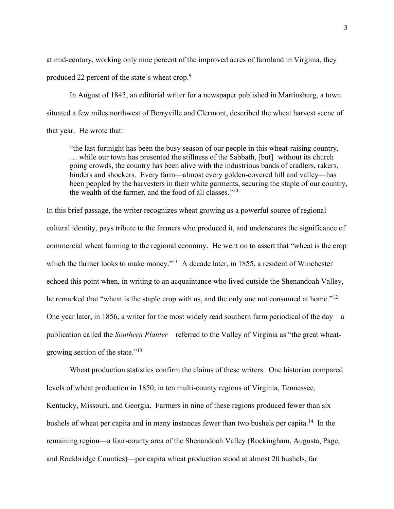at mid-century, working only nine percent of the improved acres of farmland in Virginia, they produced 22 percent of the state's wheat crop.<sup>9</sup>

In August of 1845, an editorial writer for a newspaper published in Martinsburg, a town situated a few miles northwest of Berryville and Clermont, described the wheat harvest scene of that year. He wrote that:

"the last fortnight has been the busy season of our people in this wheat-raising country. … while our town has presented the stillness of the Sabbath, [but] without its church going crowds, the country has been alive with the industrious bands of cradlers, rakers, binders and shockers. Every farm—almost every golden-covered hill and valley—has been peopled by the harvesters in their white garments, securing the staple of our country, the wealth of the farmer, and the food of all classes."10

In this brief passage, the writer recognizes wheat growing as a powerful source of regional cultural identity, pays tribute to the farmers who produced it, and underscores the significance of commercial wheat farming to the regional economy. He went on to assert that "wheat is the crop which the farmer looks to make money."<sup>11</sup> A decade later, in 1855, a resident of Winchester echoed this point when, in writing to an acquaintance who lived outside the Shenandoah Valley, he remarked that "wheat is the staple crop with us, and the only one not consumed at home."<sup>12</sup> One year later, in 1856, a writer for the most widely read southern farm periodical of the day—a publication called the *Southern Planter*—referred to the Valley of Virginia as "the great wheatgrowing section of the state."13

Wheat production statistics confirm the claims of these writers. One historian compared levels of wheat production in 1850, in ten multi-county regions of Virginia, Tennessee, Kentucky, Missouri, and Georgia. Farmers in nine of these regions produced fewer than six bushels of wheat per capita and in many instances fewer than two bushels per capita.<sup>14</sup> In the remaining region—a four-county area of the Shenandoah Valley (Rockingham, Augusta, Page, and Rockbridge Counties)—per capita wheat production stood at almost 20 bushels, far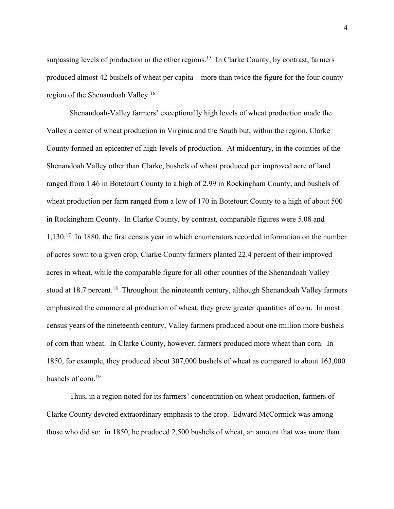surpassing levels of production in the other regions.<sup>15</sup> In Clarke County, by contrast, farmers produced almost 42 bushels of wheat per capita—more than twice the figure for the four-county region of the Shenandoah Valley.16

Shenandoah-Valley farmers' exceptionally high levels of wheat production made the Valley a center of wheat production in Virginia and the South but, within the region, Clarke County formed an epicenter of high-levels of production. At midcentury, in the counties of the Shenandoah Valley other than Clarke, bushels of wheat produced per improved acre of land ranged from 1.46 in Botetourt County to a high of 2.99 in Rockingham County, and bushels of wheat production per farm ranged from a low of 170 in Botetourt County to a high of about 500 in Rockingham County. In Clarke County, by contrast, comparable figures were 5.08 and 1,130.17 In 1880, the first census year in which enumerators recorded information on the number of acres sown to a given crop, Clarke County farmers planted 22.4 percent of their improved acres in wheat, while the comparable figure for all other counties of the Shenandoah Valley stood at 18.7 percent.<sup>18</sup> Throughout the nineteenth century, although Shenandoah Valley farmers emphasized the commercial production of wheat, they grew greater quantities of corn. In most census years of the nineteenth century, Valley farmers produced about one million more bushels of corn than wheat. In Clarke County, however, farmers produced more wheat than corn. In 1850, for example, they produced about 307,000 bushels of wheat as compared to about 163,000 bushels of corn.19

Thus, in a region noted for its farmers' concentration on wheat production, farmers of Clarke County devoted extraordinary emphasis to the crop. Edward McCormick was among those who did so: in 1850, he produced 2,500 bushels of wheat, an amount that was more than

4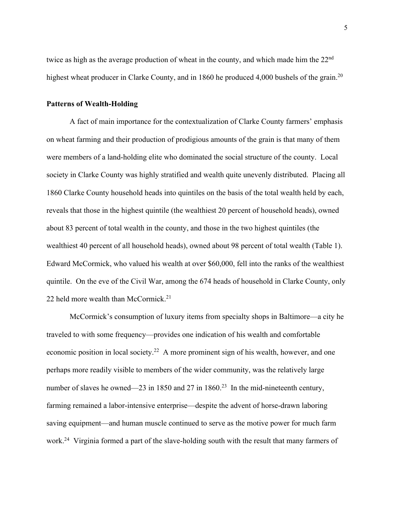twice as high as the average production of wheat in the county, and which made him the 22<sup>nd</sup> highest wheat producer in Clarke County, and in 1860 he produced 4,000 bushels of the grain.<sup>20</sup>

#### **Patterns of Wealth-Holding**

A fact of main importance for the contextualization of Clarke County farmers' emphasis on wheat farming and their production of prodigious amounts of the grain is that many of them were members of a land-holding elite who dominated the social structure of the county. Local society in Clarke County was highly stratified and wealth quite unevenly distributed. Placing all 1860 Clarke County household heads into quintiles on the basis of the total wealth held by each, reveals that those in the highest quintile (the wealthiest 20 percent of household heads), owned about 83 percent of total wealth in the county, and those in the two highest quintiles (the wealthiest 40 percent of all household heads), owned about 98 percent of total wealth (Table 1). Edward McCormick, who valued his wealth at over \$60,000, fell into the ranks of the wealthiest quintile. On the eve of the Civil War, among the 674 heads of household in Clarke County, only 22 held more wealth than McCormick.<sup>21</sup>

McCormick's consumption of luxury items from specialty shops in Baltimore—a city he traveled to with some frequency—provides one indication of his wealth and comfortable economic position in local society.<sup>22</sup> A more prominent sign of his wealth, however, and one perhaps more readily visible to members of the wider community, was the relatively large number of slaves he owned—23 in 1850 and 27 in 1860.<sup>23</sup> In the mid-nineteenth century, farming remained a labor-intensive enterprise—despite the advent of horse-drawn laboring saving equipment—and human muscle continued to serve as the motive power for much farm work.<sup>24</sup> Virginia formed a part of the slave-holding south with the result that many farmers of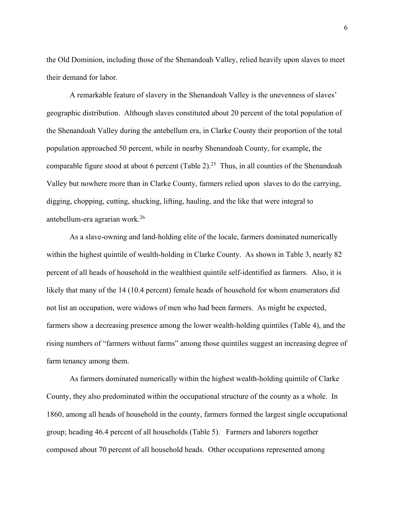the Old Dominion, including those of the Shenandoah Valley, relied heavily upon slaves to meet their demand for labor.

A remarkable feature of slavery in the Shenandoah Valley is the unevenness of slaves' geographic distribution. Although slaves constituted about 20 percent of the total population of the Shenandoah Valley during the antebellum era, in Clarke County their proportion of the total population approached 50 percent, while in nearby Shenandoah County, for example, the comparable figure stood at about 6 percent (Table 2).<sup>25</sup> Thus, in all counties of the Shenandoah Valley but nowhere more than in Clarke County, farmers relied upon slaves to do the carrying, digging, chopping, cutting, shucking, lifting, hauling, and the like that were integral to antebellum-era agrarian work.26

As a slave-owning and land-holding elite of the locale, farmers dominated numerically within the highest quintile of wealth-holding in Clarke County. As shown in Table 3, nearly 82 percent of all heads of household in the wealthiest quintile self-identified as farmers. Also, it is likely that many of the 14 (10.4 percent) female heads of household for whom enumerators did not list an occupation, were widows of men who had been farmers. As might be expected, farmers show a decreasing presence among the lower wealth-holding quintiles (Table 4), and the rising numbers of "farmers without farms" among those quintiles suggest an increasing degree of farm tenancy among them.

As farmers dominated numerically within the highest wealth-holding quintile of Clarke County, they also predominated within the occupational structure of the county as a whole. In 1860, among all heads of household in the county, farmers formed the largest single occupational group; heading 46.4 percent of all households (Table 5). Farmers and laborers together composed about 70 percent of all household heads. Other occupations represented among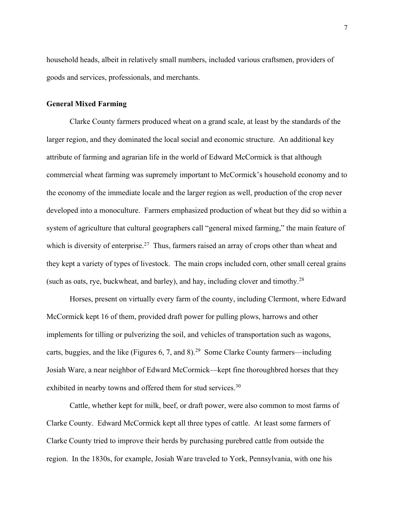household heads, albeit in relatively small numbers, included various craftsmen, providers of goods and services, professionals, and merchants.

# **General Mixed Farming**

Clarke County farmers produced wheat on a grand scale, at least by the standards of the larger region, and they dominated the local social and economic structure. An additional key attribute of farming and agrarian life in the world of Edward McCormick is that although commercial wheat farming was supremely important to McCormick's household economy and to the economy of the immediate locale and the larger region as well, production of the crop never developed into a monoculture. Farmers emphasized production of wheat but they did so within a system of agriculture that cultural geographers call "general mixed farming," the main feature of which is diversity of enterprise.<sup>27</sup> Thus, farmers raised an array of crops other than wheat and they kept a variety of types of livestock. The main crops included corn, other small cereal grains (such as oats, rye, buckwheat, and barley), and hay, including clover and timothy.28

Horses, present on virtually every farm of the county, including Clermont, where Edward McCormick kept 16 of them, provided draft power for pulling plows, harrows and other implements for tilling or pulverizing the soil, and vehicles of transportation such as wagons, carts, buggies, and the like (Figures 6, 7, and 8).29 Some Clarke County farmers—including Josiah Ware, a near neighbor of Edward McCormick—kept fine thoroughbred horses that they exhibited in nearby towns and offered them for stud services.<sup>30</sup>

Cattle, whether kept for milk, beef, or draft power, were also common to most farms of Clarke County. Edward McCormick kept all three types of cattle. At least some farmers of Clarke County tried to improve their herds by purchasing purebred cattle from outside the region. In the 1830s, for example, Josiah Ware traveled to York, Pennsylvania, with one his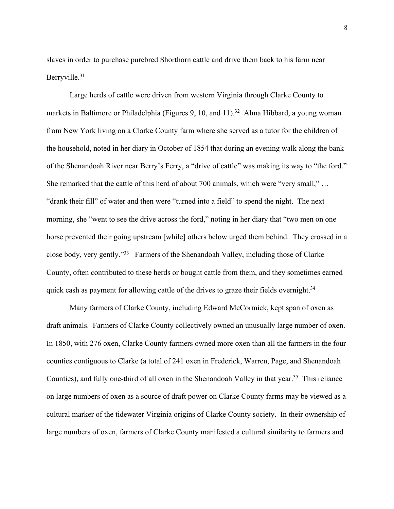slaves in order to purchase purebred Shorthorn cattle and drive them back to his farm near Berryville.31

Large herds of cattle were driven from western Virginia through Clarke County to markets in Baltimore or Philadelphia (Figures 9, 10, and  $11$ ).<sup>32</sup> Alma Hibbard, a young woman from New York living on a Clarke County farm where she served as a tutor for the children of the household, noted in her diary in October of 1854 that during an evening walk along the bank of the Shenandoah River near Berry's Ferry, a "drive of cattle" was making its way to "the ford." She remarked that the cattle of this herd of about 700 animals, which were "very small," … "drank their fill" of water and then were "turned into a field" to spend the night. The next morning, she "went to see the drive across the ford," noting in her diary that "two men on one horse prevented their going upstream [while] others below urged them behind. They crossed in a close body, very gently."33 Farmers of the Shenandoah Valley, including those of Clarke County, often contributed to these herds or bought cattle from them, and they sometimes earned quick cash as payment for allowing cattle of the drives to graze their fields overnight.<sup>34</sup>

Many farmers of Clarke County, including Edward McCormick, kept span of oxen as draft animals. Farmers of Clarke County collectively owned an unusually large number of oxen. In 1850, with 276 oxen, Clarke County farmers owned more oxen than all the farmers in the four counties contiguous to Clarke (a total of 241 oxen in Frederick, Warren, Page, and Shenandoah Counties), and fully one-third of all oxen in the Shenandoah Valley in that year.<sup>35</sup> This reliance on large numbers of oxen as a source of draft power on Clarke County farms may be viewed as a cultural marker of the tidewater Virginia origins of Clarke County society. In their ownership of large numbers of oxen, farmers of Clarke County manifested a cultural similarity to farmers and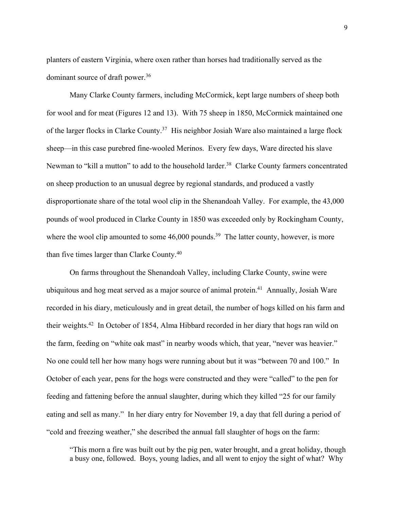planters of eastern Virginia, where oxen rather than horses had traditionally served as the dominant source of draft power.<sup>36</sup>

Many Clarke County farmers, including McCormick, kept large numbers of sheep both for wool and for meat (Figures 12 and 13). With 75 sheep in 1850, McCormick maintained one of the larger flocks in Clarke County.<sup>37</sup> His neighbor Josiah Ware also maintained a large flock sheep—in this case purebred fine-wooled Merinos. Every few days, Ware directed his slave Newman to "kill a mutton" to add to the household larder.<sup>38</sup> Clarke County farmers concentrated on sheep production to an unusual degree by regional standards, and produced a vastly disproportionate share of the total wool clip in the Shenandoah Valley. For example, the 43,000 pounds of wool produced in Clarke County in 1850 was exceeded only by Rockingham County, where the wool clip amounted to some  $46,000$  pounds.<sup>39</sup> The latter county, however, is more than five times larger than Clarke County.40

On farms throughout the Shenandoah Valley, including Clarke County, swine were ubiquitous and hog meat served as a major source of animal protein.<sup>41</sup> Annually, Josiah Ware recorded in his diary, meticulously and in great detail, the number of hogs killed on his farm and their weights.42 In October of 1854, Alma Hibbard recorded in her diary that hogs ran wild on the farm, feeding on "white oak mast" in nearby woods which, that year, "never was heavier." No one could tell her how many hogs were running about but it was "between 70 and 100." In October of each year, pens for the hogs were constructed and they were "called" to the pen for feeding and fattening before the annual slaughter, during which they killed "25 for our family eating and sell as many." In her diary entry for November 19, a day that fell during a period of "cold and freezing weather," she described the annual fall slaughter of hogs on the farm:

"This morn a fire was built out by the pig pen, water brought, and a great holiday, though a busy one, followed. Boys, young ladies, and all went to enjoy the sight of what? Why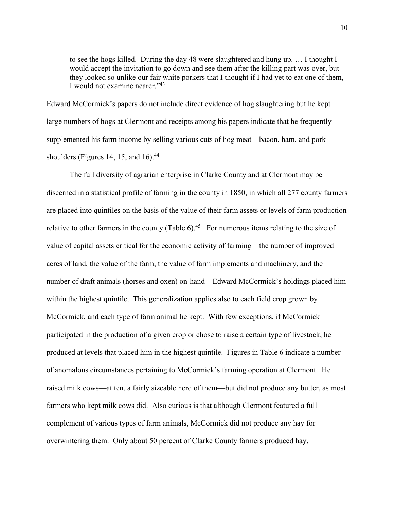to see the hogs killed. During the day 48 were slaughtered and hung up. … I thought I would accept the invitation to go down and see them after the killing part was over, but they looked so unlike our fair white porkers that I thought if I had yet to eat one of them, I would not examine nearer."<sup>43</sup>

Edward McCormick's papers do not include direct evidence of hog slaughtering but he kept large numbers of hogs at Clermont and receipts among his papers indicate that he frequently supplemented his farm income by selling various cuts of hog meat—bacon, ham, and pork shoulders (Figures 14, 15, and 16). $44$ 

The full diversity of agrarian enterprise in Clarke County and at Clermont may be discerned in a statistical profile of farming in the county in 1850, in which all 277 county farmers are placed into quintiles on the basis of the value of their farm assets or levels of farm production relative to other farmers in the county (Table  $6$ ).<sup>45</sup> For numerous items relating to the size of value of capital assets critical for the economic activity of farming—the number of improved acres of land, the value of the farm, the value of farm implements and machinery, and the number of draft animals (horses and oxen) on-hand—Edward McCormick's holdings placed him within the highest quintile. This generalization applies also to each field crop grown by McCormick, and each type of farm animal he kept. With few exceptions, if McCormick participated in the production of a given crop or chose to raise a certain type of livestock, he produced at levels that placed him in the highest quintile. Figures in Table 6 indicate a number of anomalous circumstances pertaining to McCormick's farming operation at Clermont. He raised milk cows—at ten, a fairly sizeable herd of them—but did not produce any butter, as most farmers who kept milk cows did. Also curious is that although Clermont featured a full complement of various types of farm animals, McCormick did not produce any hay for overwintering them. Only about 50 percent of Clarke County farmers produced hay.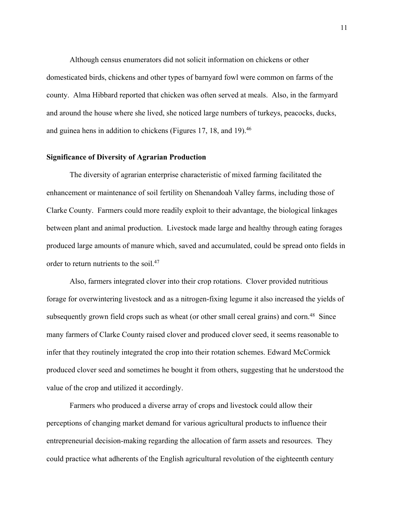Although census enumerators did not solicit information on chickens or other domesticated birds, chickens and other types of barnyard fowl were common on farms of the county. Alma Hibbard reported that chicken was often served at meals. Also, in the farmyard and around the house where she lived, she noticed large numbers of turkeys, peacocks, ducks, and guinea hens in addition to chickens (Figures 17, 18, and 19).<sup>46</sup>

### **Significance of Diversity of Agrarian Production**

The diversity of agrarian enterprise characteristic of mixed farming facilitated the enhancement or maintenance of soil fertility on Shenandoah Valley farms, including those of Clarke County. Farmers could more readily exploit to their advantage, the biological linkages between plant and animal production. Livestock made large and healthy through eating forages produced large amounts of manure which, saved and accumulated, could be spread onto fields in order to return nutrients to the soil.<sup>47</sup>

Also, farmers integrated clover into their crop rotations. Clover provided nutritious forage for overwintering livestock and as a nitrogen-fixing legume it also increased the yields of subsequently grown field crops such as wheat (or other small cereal grains) and corn.<sup>48</sup> Since many farmers of Clarke County raised clover and produced clover seed, it seems reasonable to infer that they routinely integrated the crop into their rotation schemes. Edward McCormick produced clover seed and sometimes he bought it from others, suggesting that he understood the value of the crop and utilized it accordingly.

Farmers who produced a diverse array of crops and livestock could allow their perceptions of changing market demand for various agricultural products to influence their entrepreneurial decision-making regarding the allocation of farm assets and resources. They could practice what adherents of the English agricultural revolution of the eighteenth century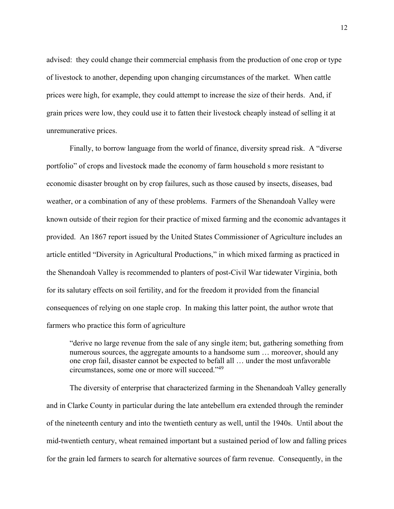advised: they could change their commercial emphasis from the production of one crop or type of livestock to another, depending upon changing circumstances of the market. When cattle prices were high, for example, they could attempt to increase the size of their herds. And, if grain prices were low, they could use it to fatten their livestock cheaply instead of selling it at unremunerative prices.

Finally, to borrow language from the world of finance, diversity spread risk. A "diverse portfolio" of crops and livestock made the economy of farm household s more resistant to economic disaster brought on by crop failures, such as those caused by insects, diseases, bad weather, or a combination of any of these problems. Farmers of the Shenandoah Valley were known outside of their region for their practice of mixed farming and the economic advantages it provided. An 1867 report issued by the United States Commissioner of Agriculture includes an article entitled "Diversity in Agricultural Productions," in which mixed farming as practiced in the Shenandoah Valley is recommended to planters of post-Civil War tidewater Virginia, both for its salutary effects on soil fertility, and for the freedom it provided from the financial consequences of relying on one staple crop. In making this latter point, the author wrote that farmers who practice this form of agriculture

"derive no large revenue from the sale of any single item; but, gathering something from numerous sources, the aggregate amounts to a handsome sum … moreover, should any one crop fail, disaster cannot be expected to befall all … under the most unfavorable circumstances, some one or more will succeed."49

The diversity of enterprise that characterized farming in the Shenandoah Valley generally and in Clarke County in particular during the late antebellum era extended through the reminder of the nineteenth century and into the twentieth century as well, until the 1940s. Until about the mid-twentieth century, wheat remained important but a sustained period of low and falling prices for the grain led farmers to search for alternative sources of farm revenue. Consequently, in the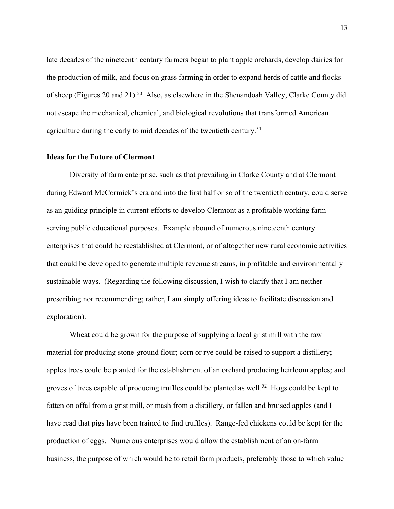late decades of the nineteenth century farmers began to plant apple orchards, develop dairies for the production of milk, and focus on grass farming in order to expand herds of cattle and flocks of sheep (Figures 20 and 21).<sup>50</sup> Also, as elsewhere in the Shenandoah Valley, Clarke County did not escape the mechanical, chemical, and biological revolutions that transformed American agriculture during the early to mid decades of the twentieth century.<sup>51</sup>

# **Ideas for the Future of Clermont**

Diversity of farm enterprise, such as that prevailing in Clarke County and at Clermont during Edward McCormick's era and into the first half or so of the twentieth century, could serve as an guiding principle in current efforts to develop Clermont as a profitable working farm serving public educational purposes. Example abound of numerous nineteenth century enterprises that could be reestablished at Clermont, or of altogether new rural economic activities that could be developed to generate multiple revenue streams, in profitable and environmentally sustainable ways. (Regarding the following discussion, I wish to clarify that I am neither prescribing nor recommending; rather, I am simply offering ideas to facilitate discussion and exploration).

Wheat could be grown for the purpose of supplying a local grist mill with the raw material for producing stone-ground flour; corn or rye could be raised to support a distillery; apples trees could be planted for the establishment of an orchard producing heirloom apples; and groves of trees capable of producing truffles could be planted as well.<sup>52</sup> Hogs could be kept to fatten on offal from a grist mill, or mash from a distillery, or fallen and bruised apples (and I have read that pigs have been trained to find truffles). Range-fed chickens could be kept for the production of eggs. Numerous enterprises would allow the establishment of an on-farm business, the purpose of which would be to retail farm products, preferably those to which value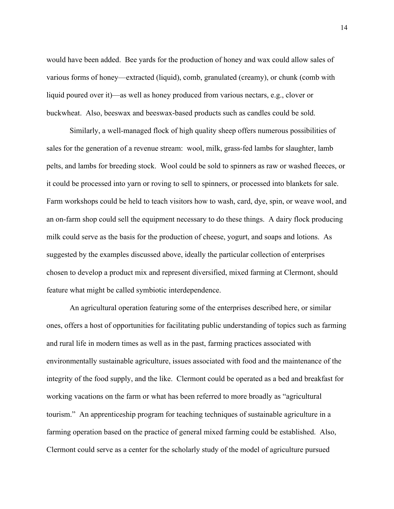would have been added. Bee yards for the production of honey and wax could allow sales of various forms of honey—extracted (liquid), comb, granulated (creamy), or chunk (comb with liquid poured over it)—as well as honey produced from various nectars, e.g., clover or buckwheat. Also, beeswax and beeswax-based products such as candles could be sold.

Similarly, a well-managed flock of high quality sheep offers numerous possibilities of sales for the generation of a revenue stream: wool, milk, grass-fed lambs for slaughter, lamb pelts, and lambs for breeding stock. Wool could be sold to spinners as raw or washed fleeces, or it could be processed into yarn or roving to sell to spinners, or processed into blankets for sale. Farm workshops could be held to teach visitors how to wash, card, dye, spin, or weave wool, and an on-farm shop could sell the equipment necessary to do these things. A dairy flock producing milk could serve as the basis for the production of cheese, yogurt, and soaps and lotions. As suggested by the examples discussed above, ideally the particular collection of enterprises chosen to develop a product mix and represent diversified, mixed farming at Clermont, should feature what might be called symbiotic interdependence.

An agricultural operation featuring some of the enterprises described here, or similar ones, offers a host of opportunities for facilitating public understanding of topics such as farming and rural life in modern times as well as in the past, farming practices associated with environmentally sustainable agriculture, issues associated with food and the maintenance of the integrity of the food supply, and the like. Clermont could be operated as a bed and breakfast for working vacations on the farm or what has been referred to more broadly as "agricultural tourism." An apprenticeship program for teaching techniques of sustainable agriculture in a farming operation based on the practice of general mixed farming could be established. Also, Clermont could serve as a center for the scholarly study of the model of agriculture pursued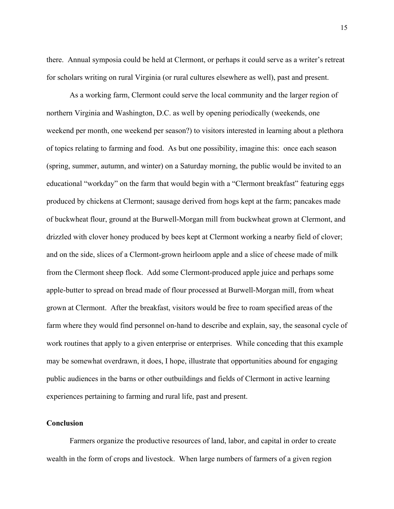there. Annual symposia could be held at Clermont, or perhaps it could serve as a writer's retreat for scholars writing on rural Virginia (or rural cultures elsewhere as well), past and present.

As a working farm, Clermont could serve the local community and the larger region of northern Virginia and Washington, D.C. as well by opening periodically (weekends, one weekend per month, one weekend per season?) to visitors interested in learning about a plethora of topics relating to farming and food. As but one possibility, imagine this: once each season (spring, summer, autumn, and winter) on a Saturday morning, the public would be invited to an educational "workday" on the farm that would begin with a "Clermont breakfast" featuring eggs produced by chickens at Clermont; sausage derived from hogs kept at the farm; pancakes made of buckwheat flour, ground at the Burwell-Morgan mill from buckwheat grown at Clermont, and drizzled with clover honey produced by bees kept at Clermont working a nearby field of clover; and on the side, slices of a Clermont-grown heirloom apple and a slice of cheese made of milk from the Clermont sheep flock. Add some Clermont-produced apple juice and perhaps some apple-butter to spread on bread made of flour processed at Burwell-Morgan mill, from wheat grown at Clermont. After the breakfast, visitors would be free to roam specified areas of the farm where they would find personnel on-hand to describe and explain, say, the seasonal cycle of work routines that apply to a given enterprise or enterprises. While conceding that this example may be somewhat overdrawn, it does, I hope, illustrate that opportunities abound for engaging public audiences in the barns or other outbuildings and fields of Clermont in active learning experiences pertaining to farming and rural life, past and present.

# **Conclusion**

Farmers organize the productive resources of land, labor, and capital in order to create wealth in the form of crops and livestock. When large numbers of farmers of a given region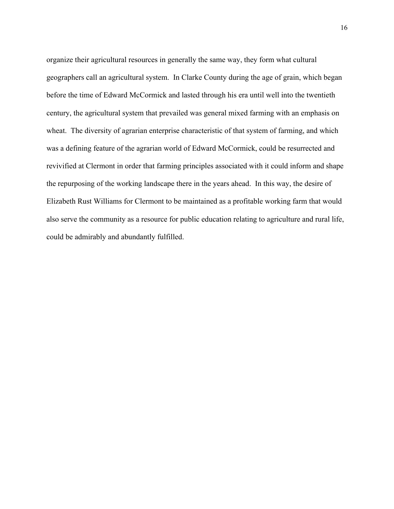organize their agricultural resources in generally the same way, they form what cultural geographers call an agricultural system. In Clarke County during the age of grain, which began before the time of Edward McCormick and lasted through his era until well into the twentieth century, the agricultural system that prevailed was general mixed farming with an emphasis on wheat. The diversity of agrarian enterprise characteristic of that system of farming, and which was a defining feature of the agrarian world of Edward McCormick, could be resurrected and revivified at Clermont in order that farming principles associated with it could inform and shape the repurposing of the working landscape there in the years ahead. In this way, the desire of Elizabeth Rust Williams for Clermont to be maintained as a profitable working farm that would also serve the community as a resource for public education relating to agriculture and rural life, could be admirably and abundantly fulfilled.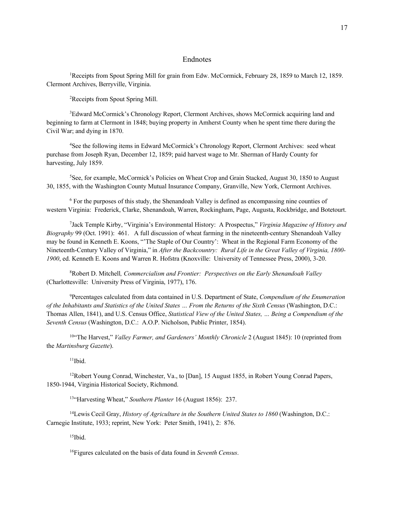#### Endnotes

<sup>1</sup> Receipts from Spout Spring Mill for grain from Edw. McCormick, February 28, 1859 to March 12, 1859. Clermont Archives, Berryville, Virginia.

2 Receipts from Spout Spring Mill.

<sup>3</sup>Edward McCormick's Chronology Report, Clermont Archives, shows McCormick acquiring land and beginning to farm at Clermont in 1848; buying property in Amherst County when he spent time there during the Civil War; and dying in 1870.

<sup>4</sup>See the following items in Edward McCormick's Chronology Report, Clermont Archives: seed wheat purchase from Joseph Ryan, December 12, 1859; paid harvest wage to Mr. Sherman of Hardy County for harvesting, July 1859.

<sup>5</sup>See, for example, McCormick's Policies on Wheat Crop and Grain Stacked, August 30, 1850 to August 30, 1855, with the Washington County Mutual Insurance Company, Granville, New York, Clermont Archives.

<sup>6</sup> For the purposes of this study, the Shenandoah Valley is defined as encompassing nine counties of western Virginia: Frederick, Clarke, Shenandoah, Warren, Rockingham, Page, Augusta, Rockbridge, and Botetourt.

7 Jack Temple Kirby, "Virginia's Environmental History: A Prospectus," *Virginia Magazine of History and Biography* 99 (Oct. 1991): 461. A full discussion of wheat farming in the nineteenth-century Shenandoah Valley may be found in Kenneth E. Koons, "'The Staple of Our Country': Wheat in the Regional Farm Economy of the Nineteenth-Century Valley of Virginia," in *After the Backcountry: Rural Life in the Great Valley of Virginia, 1800- 1900*, ed. Kenneth E. Koons and Warren R. Hofstra (Knoxville: University of Tennessee Press, 2000), 3-20.

8 Robert D. Mitchell*, Commercialism and Frontier: Perspectives on the Early Shenandoah Valley* (Charlottesville: University Press of Virginia, 1977), 176.

9 Percentages calculated from data contained in U.S. Department of State, *Compendium of the Enumeration of the Inhabitants and Statistics of the United States … From the Returns of the Sixth Census* (Washington, D.C.: Thomas Allen, 1841), and U.S. Census Office, *Statistical View of the United States, … Being a Compendium of the Seventh Census* (Washington, D.C.: A.O.P. Nicholson, Public Printer, 1854).

10"The Harvest," *Valley Farmer, and Gardeners' Monthly Chronicle* 2 (August 1845): 10 (reprinted from the *Martinsburg Gazette*).

 $11$ Ibid.

<sup>12</sup>Robert Young Conrad, Winchester, Va., to [Dan], 15 August 1855, in Robert Young Conrad Papers, 1850-1944, Virginia Historical Society, Richmond.

13"Harvesting Wheat," *Southern Planter* 16 (August 1856): 237.

14Lewis Cecil Gray, *History of Agriculture in the Southern United States to 1860* (Washington, D.C.: Carnegie Institute, 1933; reprint, New York: Peter Smith, 1941), 2: 876.

 $15$ Ibid.

16Figures calculated on the basis of data found in *Seventh Census*.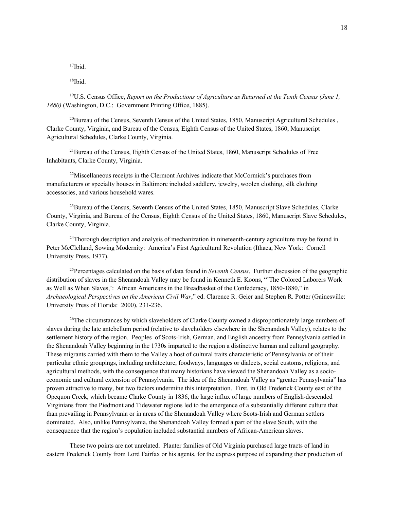17Ibid.

18Ibid.

19U.S. Census Office, *Report on the Productions of Agriculture as Returned at the Tenth Census (June 1, 1880)* (Washington, D.C.: Government Printing Office, 1885).

 $^{20}$ Bureau of the Census, Seventh Census of the United States, 1850, Manuscript Agricultural Schedules, Clarke County, Virginia, and Bureau of the Census, Eighth Census of the United States, 1860, Manuscript Agricultural Schedules, Clarke County, Virginia.

<sup>21</sup>Bureau of the Census, Eighth Census of the United States, 1860, Manuscript Schedules of Free Inhabitants, Clarke County, Virginia.

 $22$ Miscellaneous receipts in the Clermont Archives indicate that McCormick's purchases from manufacturers or specialty houses in Baltimore included saddlery, jewelry, woolen clothing, silk clothing accessories, and various household wares.

<sup>23</sup>Bureau of the Census, Seventh Census of the United States, 1850, Manuscript Slave Schedules, Clarke County, Virginia, and Bureau of the Census, Eighth Census of the United States, 1860, Manuscript Slave Schedules, Clarke County, Virginia.

<sup>24</sup>Thorough description and analysis of mechanization in nineteenth-century agriculture may be found in Peter McClelland, Sowing Modernity: America's First Agricultural Revolution (Ithaca, New York: Cornell University Press, 1977).

25Percentages calculated on the basis of data found in *Seventh Census*. Further discussion of the geographic distribution of slaves in the Shenandoah Valley may be found in Kenneth E. Koons, "'The Colored Laborers Work as Well as When Slaves,': African Americans in the Breadbasket of the Confederacy, 1850-1880," in *Archaeological Perspectives on the American Civil War*," ed. Clarence R. Geier and Stephen R. Potter (Gainesville: University Press of Florida: 2000), 231-236.

<sup>26</sup>The circumstances by which slaveholders of Clarke County owned a disproportionately large numbers of slaves during the late antebellum period (relative to slaveholders elsewhere in the Shenandoah Valley), relates to the settlement history of the region. Peoples of Scots-Irish, German, and English ancestry from Pennsylvania settled in the Shenandoah Valley beginning in the 1730s imparted to the region a distinctive human and cultural geography. These migrants carried with them to the Valley a host of cultural traits characteristic of Pennsylvania or of their particular ethnic groupings, including architecture, foodways, languages or dialects, social customs, religions, and agricultural methods, with the consequence that many historians have viewed the Shenandoah Valley as a socioeconomic and cultural extension of Pennsylvania. The idea of the Shenandoah Valley as "greater Pennsylvania" has proven attractive to many, but two factors undermine this interpretation. First, in Old Frederick County east of the Opequon Creek, which became Clarke County in 1836, the large influx of large numbers of English-descended Virginians from the Piedmont and Tidewater regions led to the emergence of a substantially different culture that than prevailing in Pennsylvania or in areas of the Shenandoah Valley where Scots-Irish and German settlers dominated. Also, unlike Pennsylvania, the Shenandoah Valley formed a part of the slave South, with the consequence that the region's population included substantial numbers of African-American slaves.

These two points are not unrelated. Planter families of Old Virginia purchased large tracts of land in eastern Frederick County from Lord Fairfax or his agents, for the express purpose of expanding their production of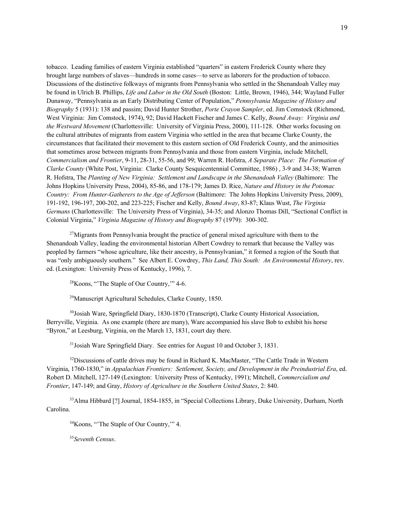tobacco. Leading families of eastern Virginia established "quarters" in eastern Frederick County where they brought large numbers of slaves—hundreds in some cases—to serve as laborers for the production of tobacco. Discussions of the distinctive folkways of migrants from Pennsylvania who settled in the Shenandoah Valley may be found in Ulrich B. Phillips, *Life and Labor in the Old South* (Boston: Little, Brown, 1946), 344; Wayland Fuller Dunaway, "Pennsylvania as an Early Distributing Center of Population," *Pennsylvania Magazine of History and Biography* 5 (1931): 138 and passim; David Hunter Strother, *Porte Crayon Sampler*, ed. Jim Comstock (Richmond, West Virginia: Jim Comstock, 1974), 92; David Hackett Fischer and James C. Kelly, *Bound Away: Virginia and the Westward Movement* (Charlottesville: University of Virginia Press, 2000), 111-128. Other works focusing on the cultural attributes of migrants from eastern Virginia who settled in the area that became Clarke County, the circumstances that facilitated their movement to this eastern section of Old Frederick County, and the animosities that sometimes arose between migrants from Pennsylvania and those from eastern Virginia, include Mitchell, *Commercialism and Frontier*, 9-11, 28-31, 55-56, and 99; Warren R. Hofstra, *A Separate Place: The Formation of Clarke County* (White Post, Virginia: Clarke County Sesquicentennial Committee, 1986) , 3-9 and 34-38; Warren R. Hofstra, The *Planting of New Virginia: Settlement and Landscape in the Shenandoah Valley* (Baltimore: The Johns Hopkins University Press, 2004), 85-86, and 178-179; James D. Rice, *Nature and History in the Potomac Country: From Hunter-Gatherers to the Age of Jefferson* (Baltimore: The Johns Hopkins University Press, 2009), 191-192, 196-197, 200-202, and 223-225; Fischer and Kelly, *Bound Away*, 83-87; Klaus Wust, *The Virginia Germans* (Charlottesville: The University Press of Virginia), 34-35; and Alonzo Thomas Dill, "Sectional Conflict in Colonial Virginia," *Virginia Magazine of History and Biography* 87 (1979): 300-302.

 $27$ Migrants from Pennsylvania brought the practice of general mixed agriculture with them to the Shenandoah Valley, leading the environmental historian Albert Cowdrey to remark that because the Valley was peopled by farmers "whose agriculture, like their ancestry, is Pennsylvanian," it formed a region of the South that was "only ambiguously southern." See Albert E. Cowdrey, *This Land, This South: An Environmental History*, rev. ed. (Lexington: University Press of Kentucky, 1996), 7.

28Koons, "'The Staple of Our Country,'" 4-6.

29Manuscript Agricultural Schedules, Clarke County, 1850.

<sup>30</sup>Josiah Ware, Springfield Diary, 1830-1870 (Transcript), Clarke County Historical Association, Berryville, Virginia. As one example (there are many), Ware accompanied his slave Bob to exhibit his horse "Byron," at Leesburg, Virginia, on the March 13, 1831, court day there.

<sup>31</sup> Josiah Ware Springfield Diary. See entries for August 10 and October 3, 1831.

<sup>32</sup>Discussions of cattle drives may be found in Richard K. MacMaster, "The Cattle Trade in Western Virginia, 1760-1830," in *Appalachian Frontiers: Settlement, Society, and Development in the Preindustrial Era*, ed. Robert D. Mitchell, 127-149 (Lexington: University Press of Kentucky, 1991); Mitchell, *Commercialism and Frontier*, 147-149; and Gray, *History of Agriculture in the Southern United States*, 2: 840.

33Alma Hibbard [?] Journal, 1854-1855, in "Special Collections Library, Duke University, Durham, North Carolina.

<sup>34</sup>Koons, "The Staple of Our Country," 4.

35*Seventh Census*.